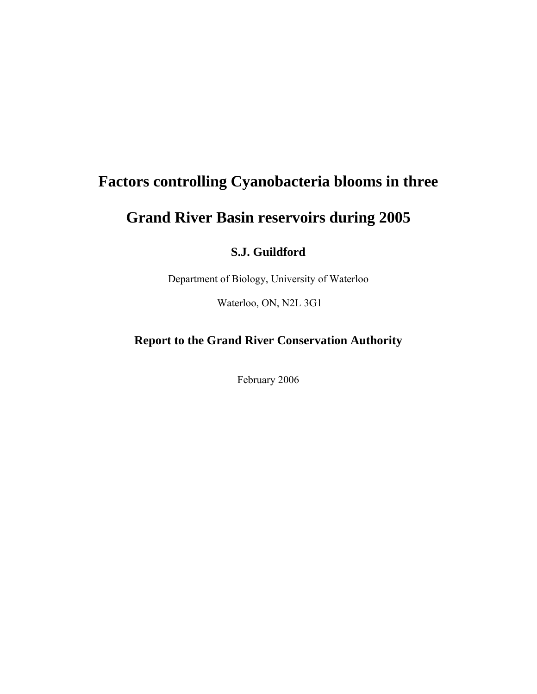# **Factors controlling Cyanobacteria blooms in three**

# **Grand River Basin reservoirs during 2005**

### **S.J. Guildford**

Department of Biology, University of Waterloo

Waterloo, ON, N2L 3G1

### **Report to the Grand River Conservation Authority**

February 2006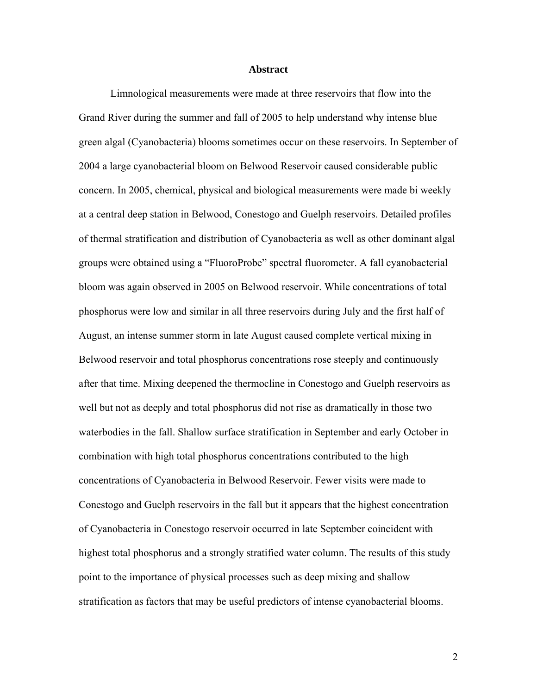#### **Abstract**

 Limnological measurements were made at three reservoirs that flow into the Grand River during the summer and fall of 2005 to help understand why intense blue green algal (Cyanobacteria) blooms sometimes occur on these reservoirs. In September of 2004 a large cyanobacterial bloom on Belwood Reservoir caused considerable public concern. In 2005, chemical, physical and biological measurements were made bi weekly at a central deep station in Belwood, Conestogo and Guelph reservoirs. Detailed profiles of thermal stratification and distribution of Cyanobacteria as well as other dominant algal groups were obtained using a "FluoroProbe" spectral fluorometer. A fall cyanobacterial bloom was again observed in 2005 on Belwood reservoir. While concentrations of total phosphorus were low and similar in all three reservoirs during July and the first half of August, an intense summer storm in late August caused complete vertical mixing in Belwood reservoir and total phosphorus concentrations rose steeply and continuously after that time. Mixing deepened the thermocline in Conestogo and Guelph reservoirs as well but not as deeply and total phosphorus did not rise as dramatically in those two waterbodies in the fall. Shallow surface stratification in September and early October in combination with high total phosphorus concentrations contributed to the high concentrations of Cyanobacteria in Belwood Reservoir. Fewer visits were made to Conestogo and Guelph reservoirs in the fall but it appears that the highest concentration of Cyanobacteria in Conestogo reservoir occurred in late September coincident with highest total phosphorus and a strongly stratified water column. The results of this study point to the importance of physical processes such as deep mixing and shallow stratification as factors that may be useful predictors of intense cyanobacterial blooms.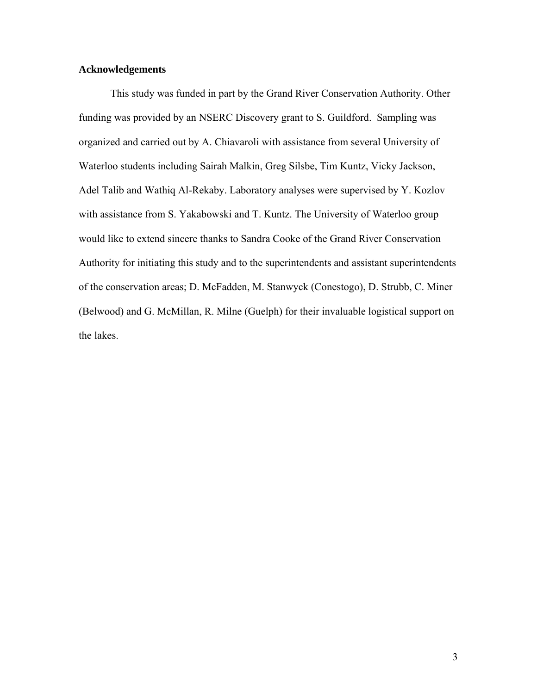#### **Acknowledgements**

 This study was funded in part by the Grand River Conservation Authority. Other funding was provided by an NSERC Discovery grant to S. Guildford. Sampling was organized and carried out by A. Chiavaroli with assistance from several University of Waterloo students including Sairah Malkin, Greg Silsbe, Tim Kuntz, Vicky Jackson, Adel Talib and Wathiq Al-Rekaby. Laboratory analyses were supervised by Y. Kozlov with assistance from S. Yakabowski and T. Kuntz. The University of Waterloo group would like to extend sincere thanks to Sandra Cooke of the Grand River Conservation Authority for initiating this study and to the superintendents and assistant superintendents of the conservation areas; D. McFadden, M. Stanwyck (Conestogo), D. Strubb, C. Miner (Belwood) and G. McMillan, R. Milne (Guelph) for their invaluable logistical support on the lakes.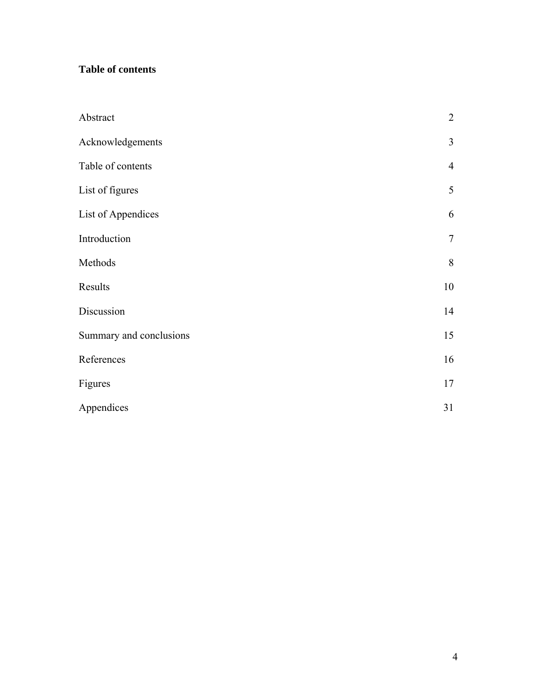## **Table of contents**

| Abstract                | $\sqrt{2}$     |
|-------------------------|----------------|
| Acknowledgements        | $\mathfrak{Z}$ |
| Table of contents       | $\overline{4}$ |
| List of figures         | 5              |
| List of Appendices      | 6              |
| Introduction            | $\tau$         |
| Methods                 | $\,8\,$        |
| Results                 | 10             |
| Discussion              | 14             |
| Summary and conclusions | 15             |
| References              | 16             |
| Figures                 | 17             |
| Appendices              | 31             |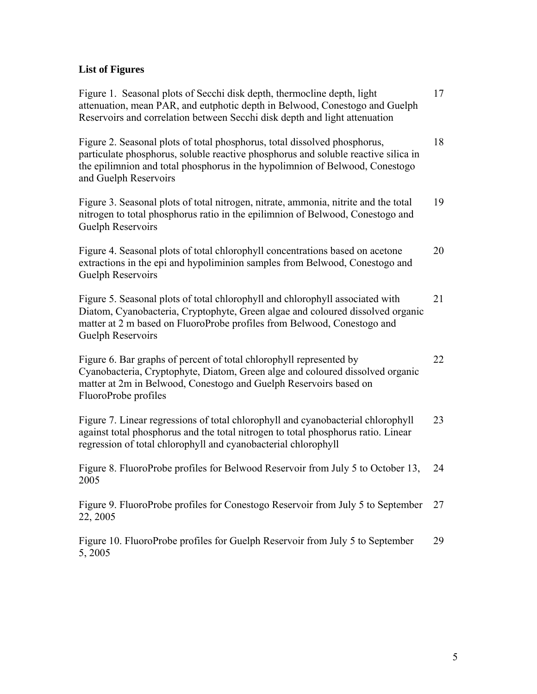## **List of Figures**

| Figure 1. Seasonal plots of Secchi disk depth, thermocline depth, light<br>attenuation, mean PAR, and eutphotic depth in Belwood, Conestogo and Guelph<br>Reservoirs and correlation between Secchi disk depth and light attenuation                                     | 17 |
|--------------------------------------------------------------------------------------------------------------------------------------------------------------------------------------------------------------------------------------------------------------------------|----|
| Figure 2. Seasonal plots of total phosphorus, total dissolved phosphorus,<br>particulate phosphorus, soluble reactive phosphorus and soluble reactive silica in<br>the epilimnion and total phosphorus in the hypolimnion of Belwood, Conestogo<br>and Guelph Reservoirs | 18 |
| Figure 3. Seasonal plots of total nitrogen, nitrate, ammonia, nitrite and the total<br>nitrogen to total phosphorus ratio in the epilimnion of Belwood, Conestogo and<br>Guelph Reservoirs                                                                               | 19 |
| Figure 4. Seasonal plots of total chlorophyll concentrations based on acetone<br>extractions in the epi and hypoliminion samples from Belwood, Conestogo and<br>Guelph Reservoirs                                                                                        | 20 |
| Figure 5. Seasonal plots of total chlorophyll and chlorophyll associated with<br>Diatom, Cyanobacteria, Cryptophyte, Green algae and coloured dissolved organic<br>matter at 2 m based on FluoroProbe profiles from Belwood, Conestogo and<br>Guelph Reservoirs          | 21 |
| Figure 6. Bar graphs of percent of total chlorophyll represented by<br>Cyanobacteria, Cryptophyte, Diatom, Green alge and coloured dissolved organic<br>matter at 2m in Belwood, Conestogo and Guelph Reservoirs based on<br>FluoroProbe profiles                        | 22 |
| Figure 7. Linear regressions of total chlorophyll and cyanobacterial chlorophyll<br>against total phosphorus and the total nitrogen to total phosphorus ratio. Linear<br>regression of total chlorophyll and cyanobacterial chlorophyll                                  | 23 |
| Figure 8. FluoroProbe profiles for Belwood Reservoir from July 5 to October 13,<br>2005                                                                                                                                                                                  | 24 |
| Figure 9. FluoroProbe profiles for Conestogo Reservoir from July 5 to September<br>22, 2005                                                                                                                                                                              | 27 |
| Figure 10. FluoroProbe profiles for Guelph Reservoir from July 5 to September<br>5, 2005                                                                                                                                                                                 | 29 |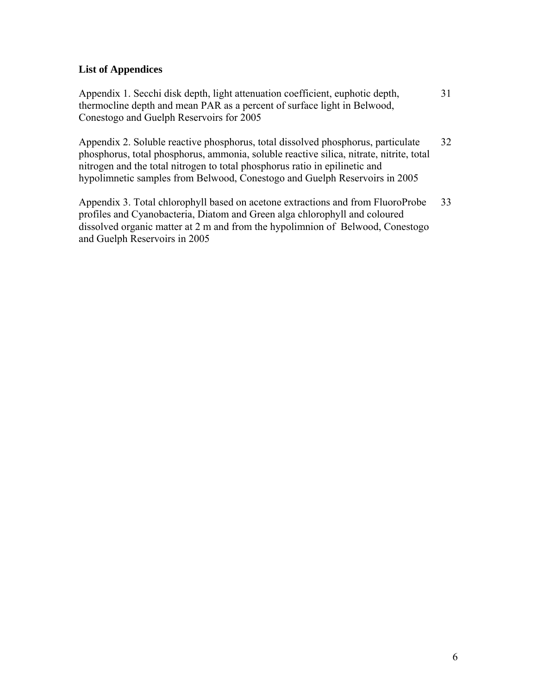#### **List of Appendices**

Appendix 1. Secchi disk depth, light attenuation coefficient, euphotic depth, thermocline depth and mean PAR as a percent of surface light in Belwood, Conestogo and Guelph Reservoirs for 2005 31

Appendix 2. Soluble reactive phosphorus, total dissolved phosphorus, particulate phosphorus, total phosphorus, ammonia, soluble reactive silica, nitrate, nitrite, total nitrogen and the total nitrogen to total phosphorus ratio in epilinetic and hypolimnetic samples from Belwood, Conestogo and Guelph Reservoirs in 2005 32

Appendix 3. Total chlorophyll based on acetone extractions and from FluoroProbe profiles and Cyanobacteria, Diatom and Green alga chlorophyll and coloured dissolved organic matter at 2 m and from the hypolimnion of Belwood, Conestogo and Guelph Reservoirs in 2005 33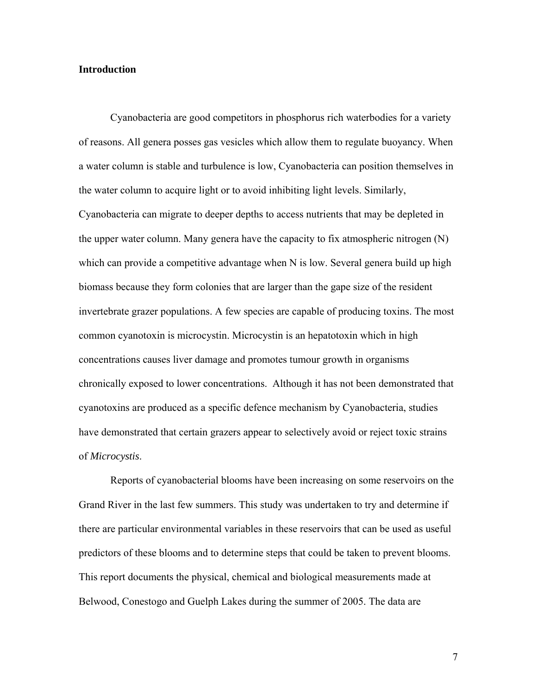#### **Introduction**

 Cyanobacteria are good competitors in phosphorus rich waterbodies for a variety of reasons. All genera posses gas vesicles which allow them to regulate buoyancy. When a water column is stable and turbulence is low, Cyanobacteria can position themselves in the water column to acquire light or to avoid inhibiting light levels. Similarly, Cyanobacteria can migrate to deeper depths to access nutrients that may be depleted in the upper water column. Many genera have the capacity to fix atmospheric nitrogen (N) which can provide a competitive advantage when N is low. Several genera build up high biomass because they form colonies that are larger than the gape size of the resident invertebrate grazer populations. A few species are capable of producing toxins. The most common cyanotoxin is microcystin. Microcystin is an hepatotoxin which in high concentrations causes liver damage and promotes tumour growth in organisms chronically exposed to lower concentrations. Although it has not been demonstrated that cyanotoxins are produced as a specific defence mechanism by Cyanobacteria, studies have demonstrated that certain grazers appear to selectively avoid or reject toxic strains of *Microcystis*.

 Reports of cyanobacterial blooms have been increasing on some reservoirs on the Grand River in the last few summers. This study was undertaken to try and determine if there are particular environmental variables in these reservoirs that can be used as useful predictors of these blooms and to determine steps that could be taken to prevent blooms. This report documents the physical, chemical and biological measurements made at Belwood, Conestogo and Guelph Lakes during the summer of 2005. The data are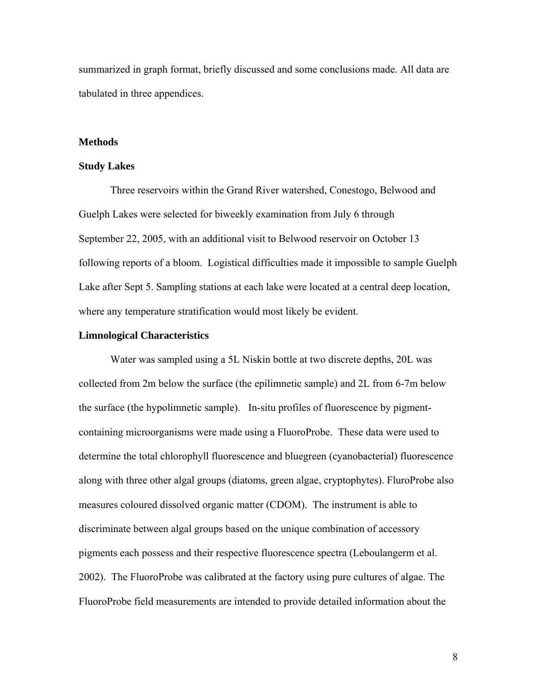summarized in graph format, briefly discussed and some conclusions made. All data are tabulated in three appendices.

#### **Methods**

#### **Study Lakes**

Three reservoirs within the Grand River watershed, Conestogo, Belwood and Guelph Lakes were selected for biweekly examination from July 6 through September 22, 2005, with an additional visit to Belwood reservoir on October 13 following reports of a bloom. Logistical difficulties made it impossible to sample Guelph Lake after Sept 5. Sampling stations at each lake were located at a central deep location, where any temperature stratification would most likely be evident.

#### **Limnological Characteristics**

Water was sampled using a 5L Niskin bottle at two discrete depths, 20L was collected from 2m below the surface (the epilimnetic sample) and 2L from 6-7m below the surface (the hypolimnetic sample). In-situ profiles of fluorescence by pigmentcontaining microorganisms were made using a FluoroProbe. These data were used to determine the total chlorophyll fluorescence and bluegreen (cyanobacterial) fluorescence along with three other algal groups (diatoms, green algae, cryptophytes). FluroProbe also measures coloured dissolved organic matter (CDOM). The instrument is able to discriminate between algal groups based on the unique combination of accessory pigments each possess and their respective fluorescence spectra (Leboulangerm et al. 2002). The FluoroProbe was calibrated at the factory using pure cultures of algae. The FluoroProbe field measurements are intended to provide detailed information about the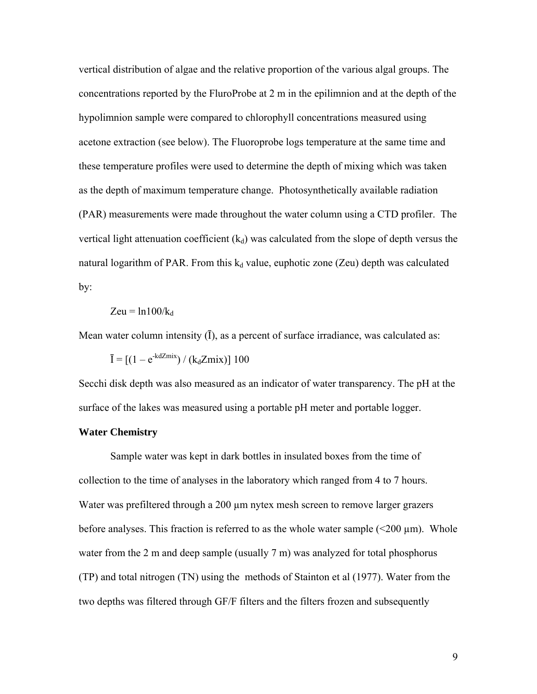vertical distribution of algae and the relative proportion of the various algal groups. The concentrations reported by the FluroProbe at 2 m in the epilimnion and at the depth of the hypolimnion sample were compared to chlorophyll concentrations measured using acetone extraction (see below). The Fluoroprobe logs temperature at the same time and these temperature profiles were used to determine the depth of mixing which was taken as the depth of maximum temperature change. Photosynthetically available radiation (PAR) measurements were made throughout the water column using a CTD profiler. The vertical light attenuation coefficient  $(k_d)$  was calculated from the slope of depth versus the natural logarithm of PAR. From this  $k_d$  value, euphotic zone (Zeu) depth was calculated by:

$$
Zeu = ln 100/k_d
$$

Mean water column intensity  $(I)$ , as a percent of surface irradiance, was calculated as:

$$
\overline{I} = [(1 - e^{-kdZmix}) / (k_dZmix)] 100
$$

Secchi disk depth was also measured as an indicator of water transparency. The pH at the surface of the lakes was measured using a portable pH meter and portable logger.

#### **Water Chemistry**

 Sample water was kept in dark bottles in insulated boxes from the time of collection to the time of analyses in the laboratory which ranged from 4 to 7 hours. Water was prefiltered through a 200 µm nytex mesh screen to remove larger grazers before analyses. This fraction is referred to as the whole water sample  $(<200 \mu m)$ . Whole water from the 2 m and deep sample (usually 7 m) was analyzed for total phosphorus (TP) and total nitrogen (TN) using the methods of Stainton et al (1977). Water from the two depths was filtered through GF/F filters and the filters frozen and subsequently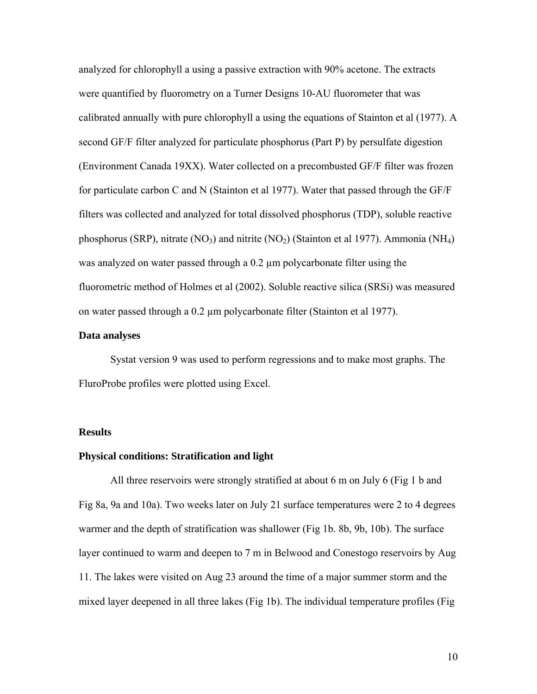analyzed for chlorophyll a using a passive extraction with 90% acetone. The extracts were quantified by fluorometry on a Turner Designs 10-AU fluorometer that was calibrated annually with pure chlorophyll a using the equations of Stainton et al (1977). A second GF/F filter analyzed for particulate phosphorus (Part P) by persulfate digestion (Environment Canada 19XX). Water collected on a precombusted GF/F filter was frozen for particulate carbon C and N (Stainton et al 1977). Water that passed through the GF/F filters was collected and analyzed for total dissolved phosphorus (TDP), soluble reactive phosphorus (SRP), nitrate (NO<sub>3</sub>) and nitrite (NO<sub>2</sub>) (Stainton et al 1977). Ammonia (NH<sub>4</sub>) was analyzed on water passed through a 0.2 µm polycarbonate filter using the fluorometric method of Holmes et al (2002). Soluble reactive silica (SRSi) was measured on water passed through a 0.2 µm polycarbonate filter (Stainton et al 1977).

#### **Data analyses**

 Systat version 9 was used to perform regressions and to make most graphs. The FluroProbe profiles were plotted using Excel.

#### **Results**

#### **Physical conditions: Stratification and light**

 All three reservoirs were strongly stratified at about 6 m on July 6 (Fig 1 b and Fig 8a, 9a and 10a). Two weeks later on July 21 surface temperatures were 2 to 4 degrees warmer and the depth of stratification was shallower (Fig 1b. 8b, 9b, 10b). The surface layer continued to warm and deepen to 7 m in Belwood and Conestogo reservoirs by Aug 11. The lakes were visited on Aug 23 around the time of a major summer storm and the mixed layer deepened in all three lakes (Fig 1b). The individual temperature profiles (Fig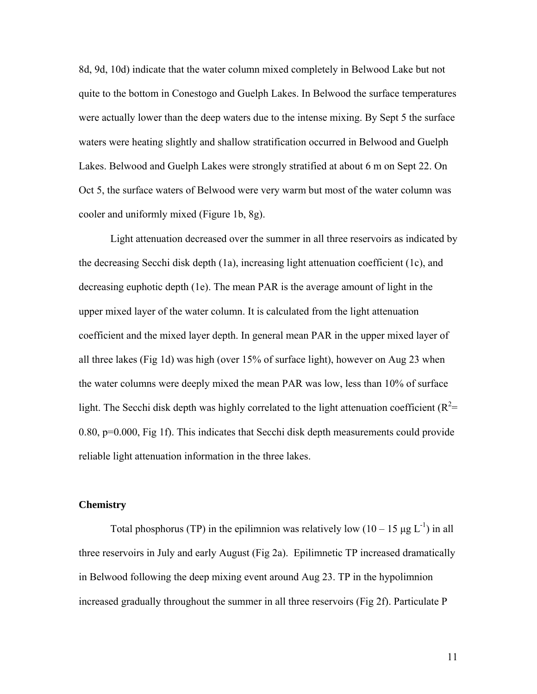8d, 9d, 10d) indicate that the water column mixed completely in Belwood Lake but not quite to the bottom in Conestogo and Guelph Lakes. In Belwood the surface temperatures were actually lower than the deep waters due to the intense mixing. By Sept 5 the surface waters were heating slightly and shallow stratification occurred in Belwood and Guelph Lakes. Belwood and Guelph Lakes were strongly stratified at about 6 m on Sept 22. On Oct 5, the surface waters of Belwood were very warm but most of the water column was cooler and uniformly mixed (Figure 1b, 8g).

 Light attenuation decreased over the summer in all three reservoirs as indicated by the decreasing Secchi disk depth (1a), increasing light attenuation coefficient (1c), and decreasing euphotic depth (1e). The mean PAR is the average amount of light in the upper mixed layer of the water column. It is calculated from the light attenuation coefficient and the mixed layer depth. In general mean PAR in the upper mixed layer of all three lakes (Fig 1d) was high (over 15% of surface light), however on Aug 23 when the water columns were deeply mixed the mean PAR was low, less than 10% of surface light. The Secchi disk depth was highly correlated to the light attenuation coefficient ( $R^2$ = 0.80, p=0.000, Fig 1f). This indicates that Secchi disk depth measurements could provide reliable light attenuation information in the three lakes.

#### **Chemistry**

Total phosphorus (TP) in the epilimnion was relatively low  $(10 - 15 \mu g L^{-1})$  in all three reservoirs in July and early August (Fig 2a). Epilimnetic TP increased dramatically in Belwood following the deep mixing event around Aug 23. TP in the hypolimnion increased gradually throughout the summer in all three reservoirs (Fig 2f). Particulate P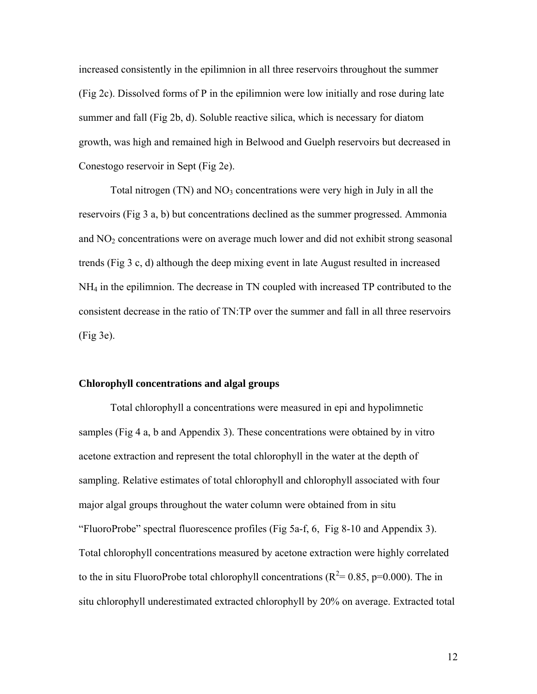increased consistently in the epilimnion in all three reservoirs throughout the summer (Fig 2c). Dissolved forms of P in the epilimnion were low initially and rose during late summer and fall (Fig 2b, d). Soluble reactive silica, which is necessary for diatom growth, was high and remained high in Belwood and Guelph reservoirs but decreased in Conestogo reservoir in Sept (Fig 2e).

Total nitrogen  $(TN)$  and  $NO<sub>3</sub>$  concentrations were very high in July in all the reservoirs (Fig 3 a, b) but concentrations declined as the summer progressed. Ammonia and  $NO<sub>2</sub>$  concentrations were on average much lower and did not exhibit strong seasonal trends (Fig 3 c, d) although the deep mixing event in late August resulted in increased NH4 in the epilimnion. The decrease in TN coupled with increased TP contributed to the consistent decrease in the ratio of TN:TP over the summer and fall in all three reservoirs (Fig 3e).

#### **Chlorophyll concentrations and algal groups**

 Total chlorophyll a concentrations were measured in epi and hypolimnetic samples (Fig 4 a, b and Appendix 3). These concentrations were obtained by in vitro acetone extraction and represent the total chlorophyll in the water at the depth of sampling. Relative estimates of total chlorophyll and chlorophyll associated with four major algal groups throughout the water column were obtained from in situ "FluoroProbe" spectral fluorescence profiles (Fig 5a-f, 6, Fig 8-10 and Appendix 3). Total chlorophyll concentrations measured by acetone extraction were highly correlated to the in situ FluoroProbe total chlorophyll concentrations ( $R^2$  = 0.85, p=0.000). The in situ chlorophyll underestimated extracted chlorophyll by 20% on average. Extracted total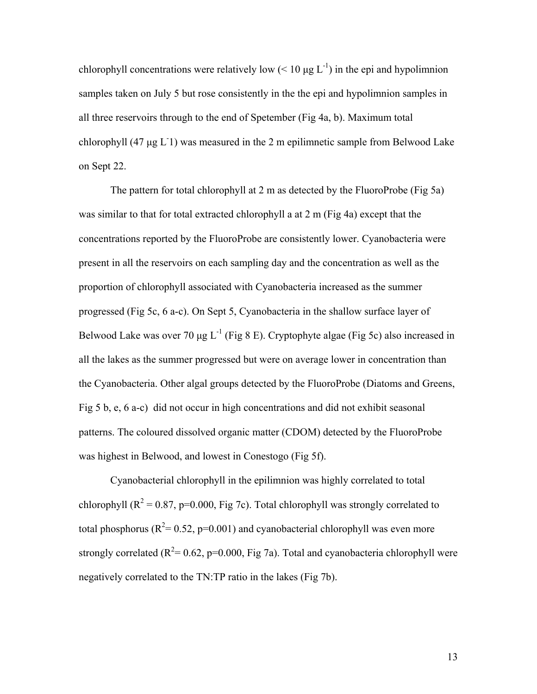chlorophyll concentrations were relatively low ( $\leq 10 \mu g L^{-1}$ ) in the epi and hypolimnion samples taken on July 5 but rose consistently in the the epi and hypolimnion samples in all three reservoirs through to the end of Spetember (Fig 4a, b). Maximum total chlorophyll (47 μg L<sup>-</sup>1) was measured in the 2 m epilimnetic sample from Belwood Lake on Sept 22.

 The pattern for total chlorophyll at 2 m as detected by the FluoroProbe (Fig 5a) was similar to that for total extracted chlorophyll a at 2 m (Fig 4a) except that the concentrations reported by the FluoroProbe are consistently lower. Cyanobacteria were present in all the reservoirs on each sampling day and the concentration as well as the proportion of chlorophyll associated with Cyanobacteria increased as the summer progressed (Fig 5c, 6 a-c). On Sept 5, Cyanobacteria in the shallow surface layer of Belwood Lake was over 70  $\mu$ g L<sup>-1</sup> (Fig 8 E). Cryptophyte algae (Fig 5c) also increased in all the lakes as the summer progressed but were on average lower in concentration than the Cyanobacteria. Other algal groups detected by the FluoroProbe (Diatoms and Greens, Fig 5 b, e, 6 a-c) did not occur in high concentrations and did not exhibit seasonal patterns. The coloured dissolved organic matter (CDOM) detected by the FluoroProbe was highest in Belwood, and lowest in Conestogo (Fig 5f).

 Cyanobacterial chlorophyll in the epilimnion was highly correlated to total chlorophyll ( $R^2 = 0.87$ , p=0.000, Fig 7c). Total chlorophyll was strongly correlated to total phosphorus ( $R^2$ = 0.52, p=0.001) and cyanobacterial chlorophyll was even more strongly correlated ( $R^2$ = 0.62, p=0.000, Fig 7a). Total and cyanobacteria chlorophyll were negatively correlated to the TN:TP ratio in the lakes (Fig 7b).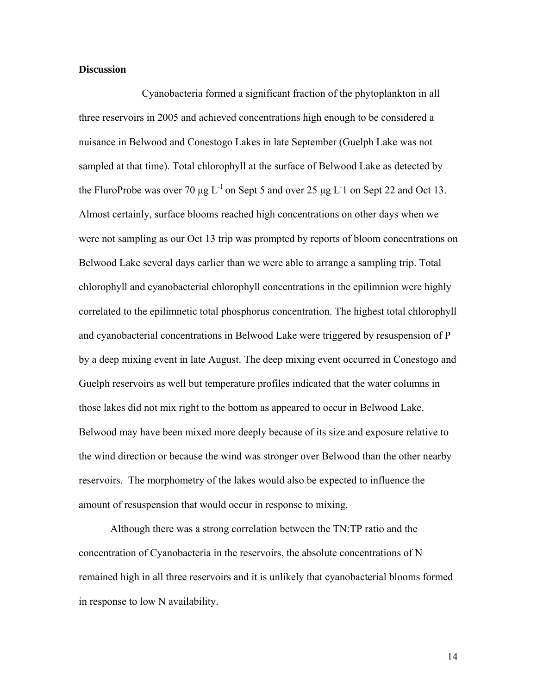#### **Discussion**

 Cyanobacteria formed a significant fraction of the phytoplankton in all three reservoirs in 2005 and achieved concentrations high enough to be considered a nuisance in Belwood and Conestogo Lakes in late September (Guelph Lake was not sampled at that time). Total chlorophyll at the surface of Belwood Lake as detected by the FluroProbe was over 70  $\mu$ g L<sup>-1</sup> on Sept 5 and over 25  $\mu$ g L<sup>-1</sup> on Sept 22 and Oct 13. Almost certainly, surface blooms reached high concentrations on other days when we were not sampling as our Oct 13 trip was prompted by reports of bloom concentrations on Belwood Lake several days earlier than we were able to arrange a sampling trip. Total chlorophyll and cyanobacterial chlorophyll concentrations in the epilimnion were highly correlated to the epilimnetic total phosphorus concentration. The highest total chlorophyll and cyanobacterial concentrations in Belwood Lake were triggered by resuspension of P by a deep mixing event in late August. The deep mixing event occurred in Conestogo and Guelph reservoirs as well but temperature profiles indicated that the water columns in those lakes did not mix right to the bottom as appeared to occur in Belwood Lake. Belwood may have been mixed more deeply because of its size and exposure relative to the wind direction or because the wind was stronger over Belwood than the other nearby reservoirs. The morphometry of the lakes would also be expected to influence the amount of resuspension that would occur in response to mixing.

 Although there was a strong correlation between the TN:TP ratio and the concentration of Cyanobacteria in the reservoirs, the absolute concentrations of N remained high in all three reservoirs and it is unlikely that cyanobacterial blooms formed in response to low N availability.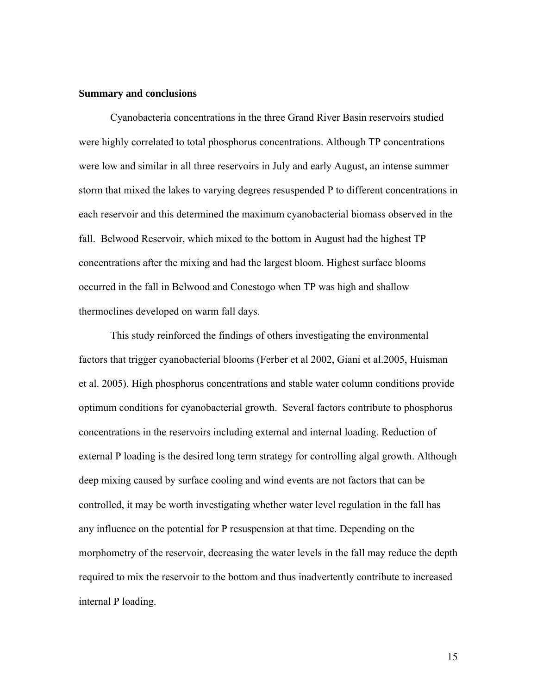#### **Summary and conclusions**

 Cyanobacteria concentrations in the three Grand River Basin reservoirs studied were highly correlated to total phosphorus concentrations. Although TP concentrations were low and similar in all three reservoirs in July and early August, an intense summer storm that mixed the lakes to varying degrees resuspended P to different concentrations in each reservoir and this determined the maximum cyanobacterial biomass observed in the fall. Belwood Reservoir, which mixed to the bottom in August had the highest TP concentrations after the mixing and had the largest bloom. Highest surface blooms occurred in the fall in Belwood and Conestogo when TP was high and shallow thermoclines developed on warm fall days.

 This study reinforced the findings of others investigating the environmental factors that trigger cyanobacterial blooms (Ferber et al 2002, Giani et al.2005, Huisman et al. 2005). High phosphorus concentrations and stable water column conditions provide optimum conditions for cyanobacterial growth. Several factors contribute to phosphorus concentrations in the reservoirs including external and internal loading. Reduction of external P loading is the desired long term strategy for controlling algal growth. Although deep mixing caused by surface cooling and wind events are not factors that can be controlled, it may be worth investigating whether water level regulation in the fall has any influence on the potential for P resuspension at that time. Depending on the morphometry of the reservoir, decreasing the water levels in the fall may reduce the depth required to mix the reservoir to the bottom and thus inadvertently contribute to increased internal P loading.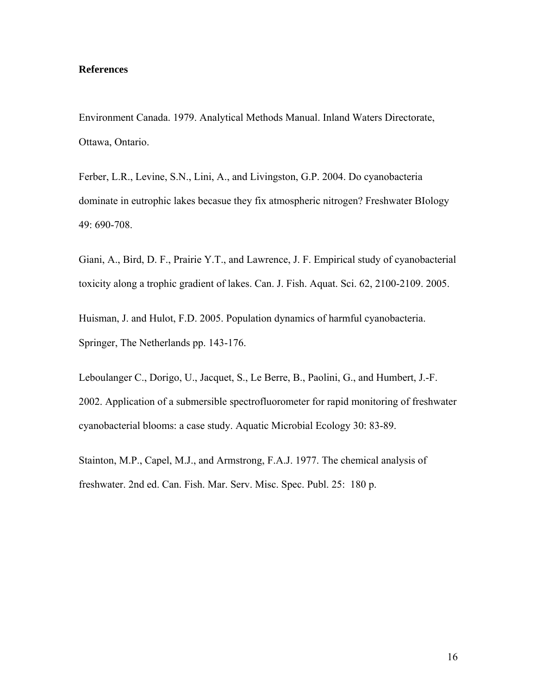#### **References**

Environment Canada. 1979. Analytical Methods Manual. Inland Waters Directorate, Ottawa, Ontario.

Ferber, L.R., Levine, S.N., Lini, A., and Livingston, G.P. 2004. Do cyanobacteria dominate in eutrophic lakes becasue they fix atmospheric nitrogen? Freshwater BIology 49: 690-708.

Giani, A., Bird, D. F., Prairie Y.T., and Lawrence, J. F. Empirical study of cyanobacterial toxicity along a trophic gradient of lakes. Can. J. Fish. Aquat. Sci. 62, 2100-2109. 2005.

Huisman, J. and Hulot, F.D. 2005. Population dynamics of harmful cyanobacteria. Springer, The Netherlands pp. 143-176.

Leboulanger C., Dorigo, U., Jacquet, S., Le Berre, B., Paolini, G., and Humbert, J.-F. 2002. Application of a submersible spectrofluorometer for rapid monitoring of freshwater cyanobacterial blooms: a case study. Aquatic Microbial Ecology 30: 83-89.

Stainton, M.P., Capel, M.J., and Armstrong, F.A.J. 1977. The chemical analysis of freshwater. 2nd ed. Can. Fish. Mar. Serv. Misc. Spec. Publ. 25: 180 p.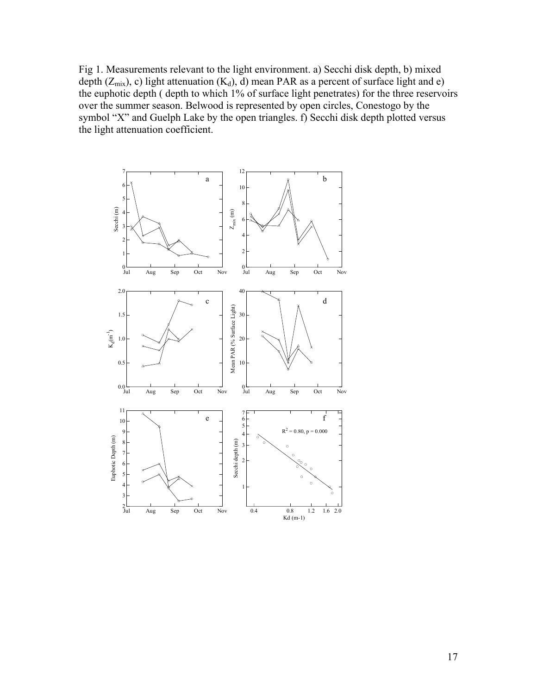Fig 1. Measurements relevant to the light environment. a) Secchi disk depth, b) mixed depth  $(Z_{mix})$ , c) light attenuation  $(K_d)$ , d) mean PAR as a percent of surface light and e) the euphotic depth ( depth to which 1% of surface light penetrates) for the three reservoirs over the summer season. Belwood is represented by open circles, Conestogo by the symbol "X" and Guelph Lake by the open triangles. f) Secchi disk depth plotted versus the light attenuation coefficient.

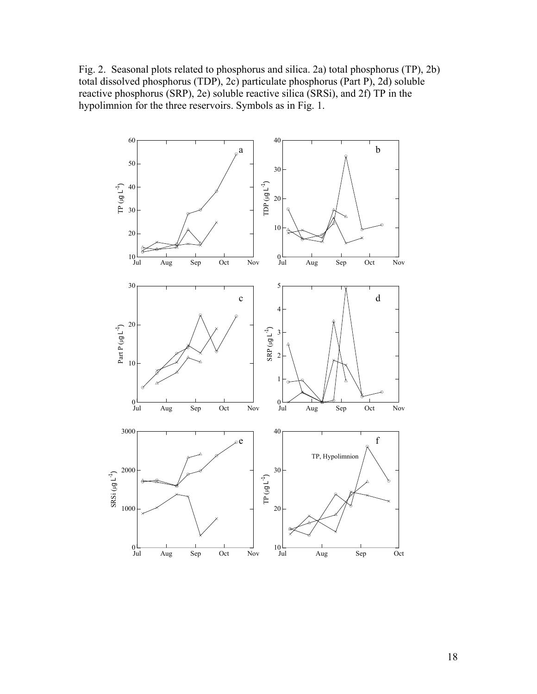Fig. 2. Seasonal plots related to phosphorus and silica. 2a) total phosphorus (TP), 2b) total dissolved phosphorus (TDP), 2c) particulate phosphorus (Part P), 2d) soluble reactive phosphorus (SRP), 2e) soluble reactive silica (SRSi), and 2f) TP in the hypolimnion for the three reservoirs. Symbols as in Fig. 1.

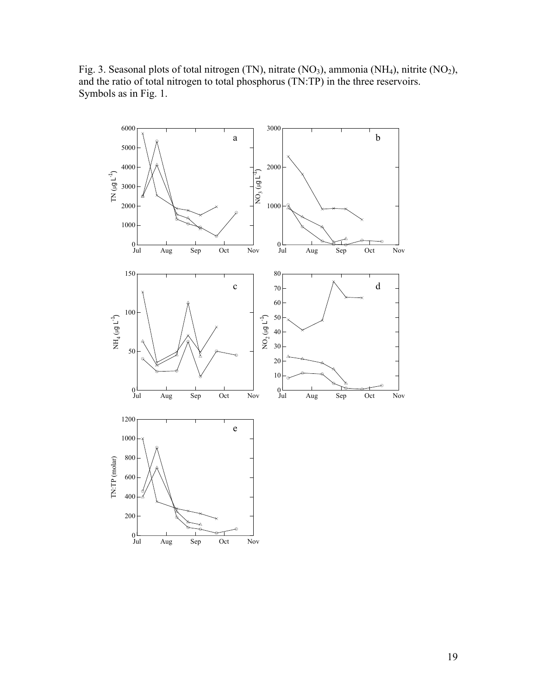Fig. 3. Seasonal plots of total nitrogen (TN), nitrate (NO<sub>3</sub>), ammonia (NH<sub>4</sub>), nitrite (NO<sub>2</sub>), and the ratio of total nitrogen to total phosphorus (TN:TP) in the three reservoirs. Symbols as in Fig. 1.

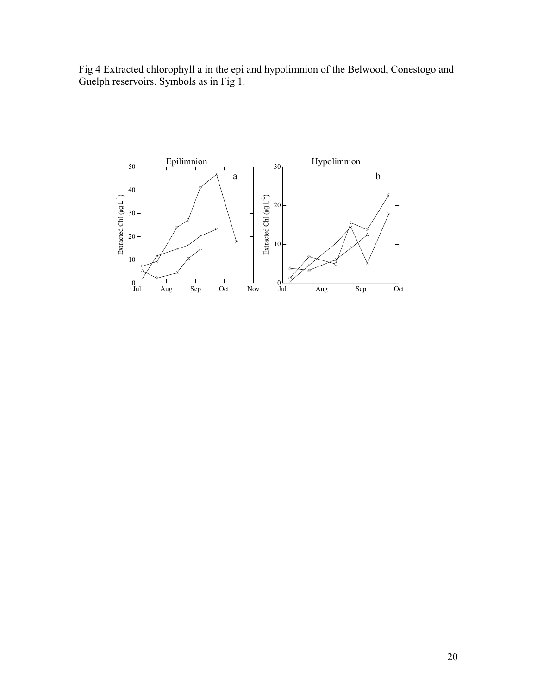Fig 4 Extracted chlorophyll a in the epi and hypolimnion of the Belwood, Conestogo and Guelph reservoirs. Symbols as in Fig 1.

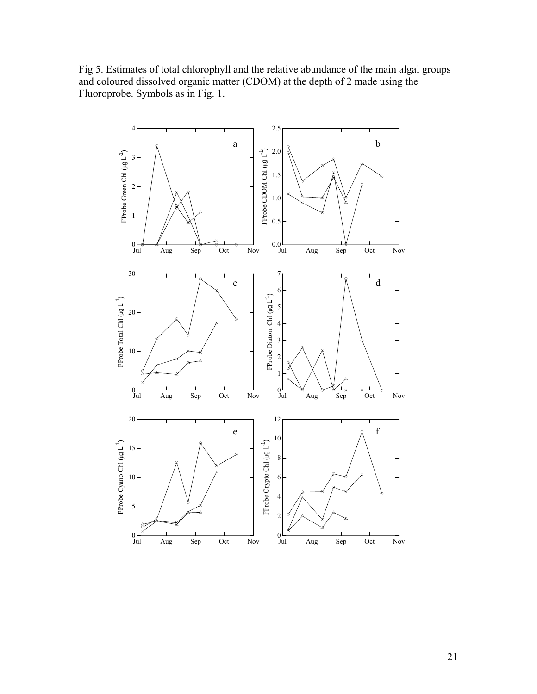Fig 5. Estimates of total chlorophyll and the relative abundance of the main algal groups and coloured dissolved organic matter (CDOM) at the depth of 2 made using the Fluoroprobe. Symbols as in Fig. 1.

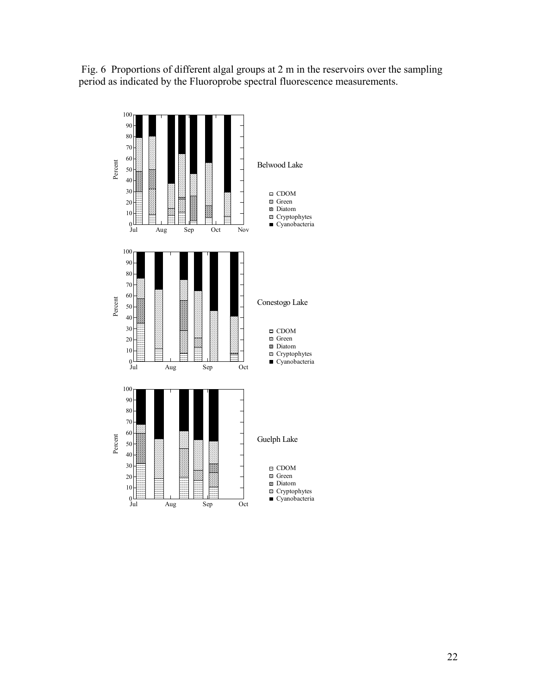Fig. 6 Proportions of different algal groups at 2 m in the reservoirs over the sampling period as indicated by the Fluoroprobe spectral fluorescence measurements.

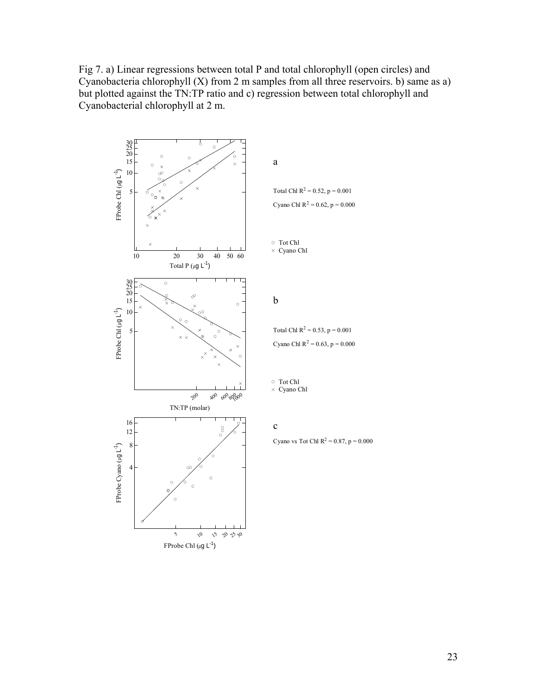Fig 7. a) Linear regressions between total P and total chlorophyll (open circles) and Cyanobacteria chlorophyll  $(X)$  from 2 m samples from all three reservoirs. b) same as a) but plotted against the TN:TP ratio and c) regression between total chlorophyll and Cyanobacterial chlorophyll at 2 m.

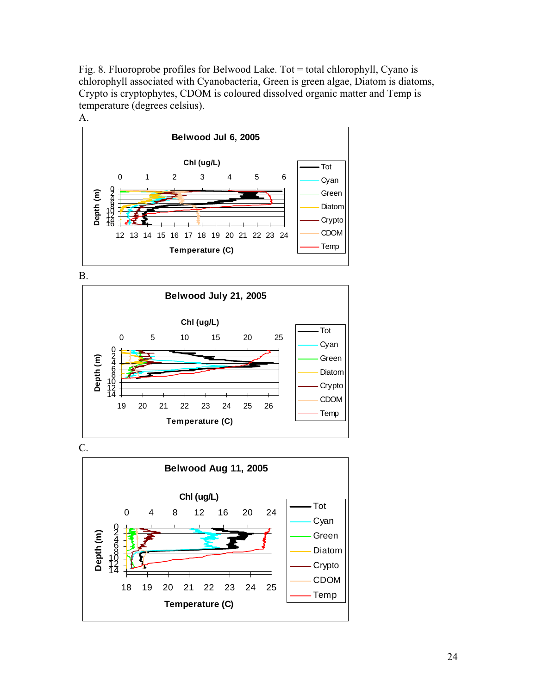Fig. 8. Fluoroprobe profiles for Belwood Lake. Tot = total chlorophyll, Cyano is chlorophyll associated with Cyanobacteria, Green is green algae, Diatom is diatoms, Crypto is cryptophytes, CDOM is coloured dissolved organic matter and Temp is temperature (degrees celsius).



B.



C.

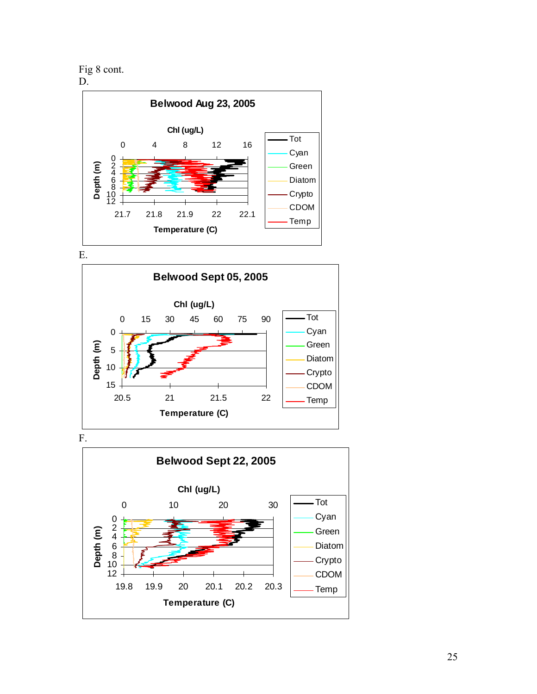Fig 8 cont.







F.

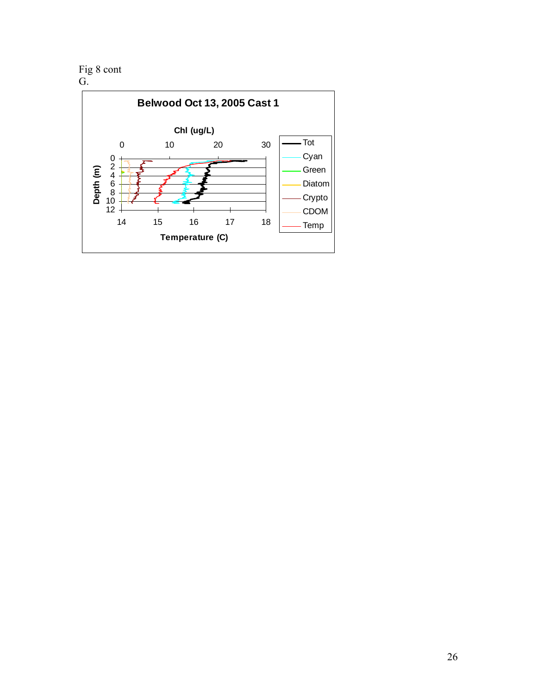Fig 8 cont

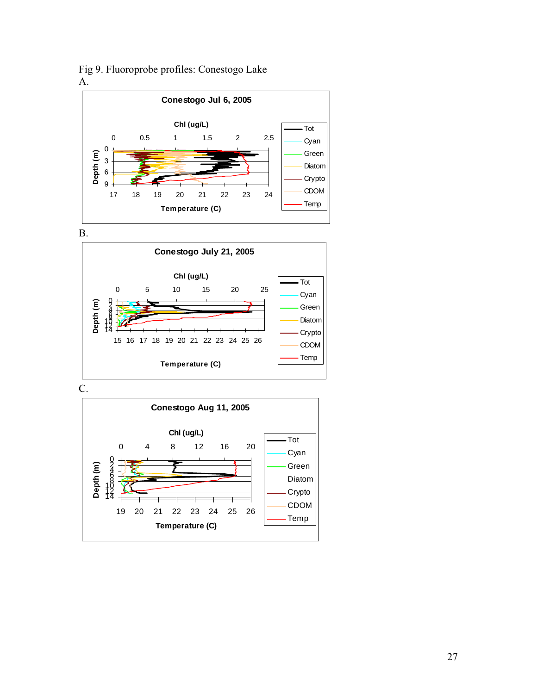

Fig 9. Fluoroprobe profiles: Conestogo Lake

B.



C.

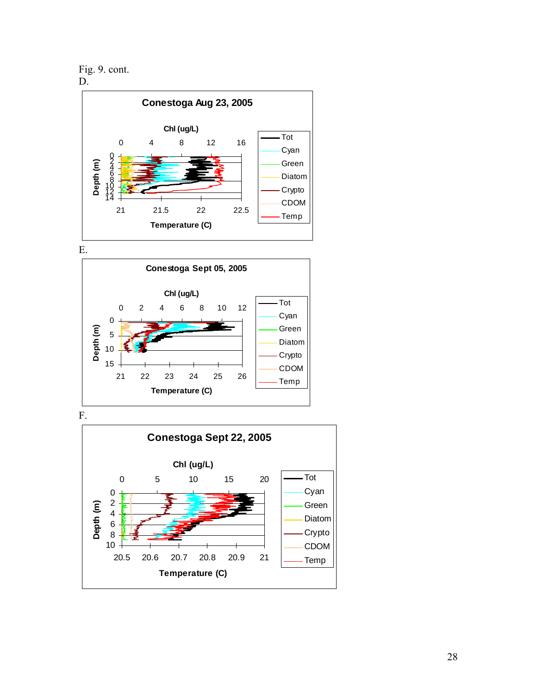Fig. 9. cont.



E.



F.

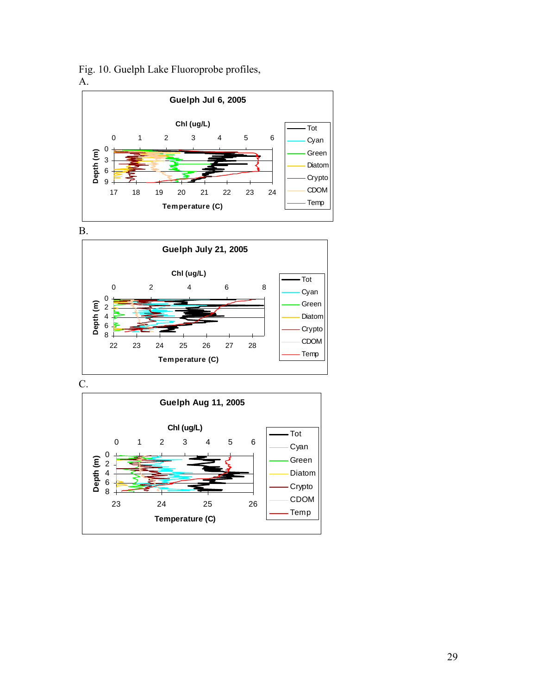

Fig. 10. Guelph Lake Fluoroprobe profiles,

B.



C.

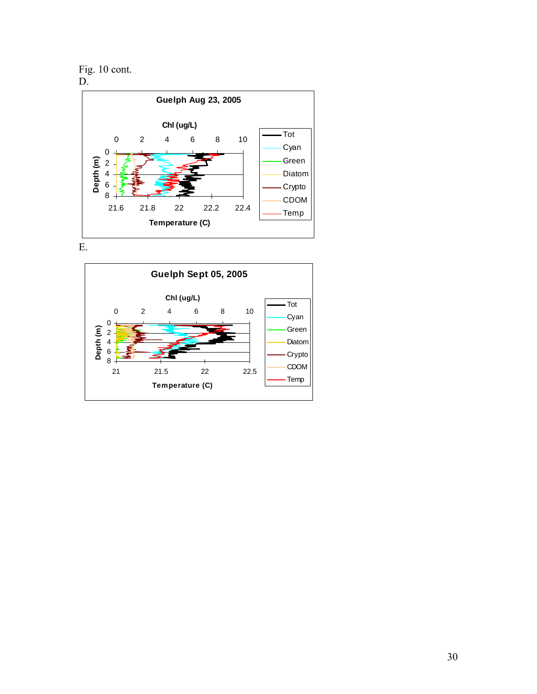Fig. 10 cont. D.



E.

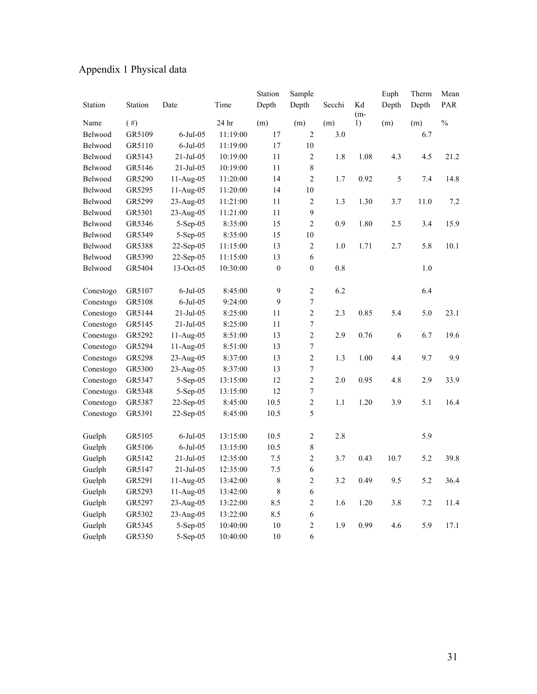| Appendix 1 Physical data |  |  |  |
|--------------------------|--|--|--|
|--------------------------|--|--|--|

|           |         |                |          | Station          | Sample           |         |             | Euph  | Therm | Mean          |
|-----------|---------|----------------|----------|------------------|------------------|---------|-------------|-------|-------|---------------|
| Station   | Station | Date           | Time     | Depth            | Depth            | Secchi  | Kd<br>$(m-$ | Depth | Depth | PAR           |
| Name      | (  # )  |                | 24 hr    | (m)              | (m)              | (m)     | 1)          | (m)   | (m)   | $\frac{0}{0}$ |
| Belwood   | GR5109  | $6$ -Jul-05    | 11:19:00 | 17               | $\overline{2}$   | 3.0     |             |       | 6.7   |               |
| Belwood   | GR5110  | $6$ -Jul $-05$ | 11:19:00 | 17               | 10               |         |             |       |       |               |
| Belwood   | GR5143  | 21-Jul-05      | 10:19:00 | 11               | $\overline{c}$   | 1.8     | 1.08        | 4.3   | 4.5   | 21.2          |
| Belwood   | GR5146  | $21-Jul-05$    | 10:19:00 | 11               | 8                |         |             |       |       |               |
| Belwood   | GR5290  | 11-Aug-05      | 11:20:00 | 14               | $\overline{2}$   | 1.7     | 0.92        | 5     | 7.4   | 14.8          |
| Belwood   | GR5295  | 11-Aug-05      | 11:20:00 | 14               | 10               |         |             |       |       |               |
| Belwood   | GR5299  | 23-Aug-05      | 11:21:00 | 11               | $\overline{2}$   | 1.3     | 1.30        | 3.7   | 11.0  | 7.2           |
| Belwood   | GR5301  | 23-Aug-05      | 11:21:00 | 11               | 9                |         |             |       |       |               |
| Belwood   | GR5346  | 5-Sep-05       | 8:35:00  | 15               | $\overline{c}$   | 0.9     | 1.80        | 2.5   | 3.4   | 15.9          |
| Belwood   | GR5349  | 5-Sep-05       | 8:35:00  | 15               | $10\,$           |         |             |       |       |               |
| Belwood   | GR5388  | 22-Sep-05      | 11:15:00 | 13               | $\overline{c}$   | $1.0\,$ | 1.71        | 2.7   | 5.8   | 10.1          |
| Belwood   | GR5390  | 22-Sep-05      | 11:15:00 | 13               | 6                |         |             |       |       |               |
| Belwood   | GR5404  | 13-Oct-05      | 10:30:00 | $\boldsymbol{0}$ | $\boldsymbol{0}$ | $0.8\,$ |             |       | 1.0   |               |
| Conestogo | GR5107  | $6$ -Jul $-05$ | 8:45:00  | 9                | $\overline{c}$   | 6.2     |             |       | 6.4   |               |
| Conestogo | GR5108  | $6$ -Jul-05    | 9:24:00  | 9                | $\sqrt{ }$       |         |             |       |       |               |
| Conestogo | GR5144  | $21-Jul-05$    | 8:25:00  | 11               | $\overline{c}$   | 2.3     | 0.85        | 5.4   | 5.0   | 23.1          |
| Conestogo | GR5145  | 21-Jul-05      | 8:25:00  | 11               | $\sqrt{ }$       |         |             |       |       |               |
| Conestogo | GR5292  | $11-Aug-05$    | 8:51:00  | 13               | $\overline{2}$   | 2.9     | 0.76        | 6     | 6.7   | 19.6          |
| Conestogo | GR5294  | 11-Aug-05      | 8:51:00  | 13               | $\sqrt{ }$       |         |             |       |       |               |
| Conestogo | GR5298  | 23-Aug-05      | 8:37:00  | 13               | $\overline{c}$   | 1.3     | 1.00        | 4.4   | 9.7   | 9.9           |
| Conestogo | GR5300  | 23-Aug-05      | 8:37:00  | 13               | $\sqrt{ }$       |         |             |       |       |               |
| Conestogo | GR5347  | 5-Sep-05       | 13:15:00 | 12               | $\overline{c}$   | $2.0$   | 0.95        | 4.8   | 2.9   | 33.9          |
| Conestogo | GR5348  | 5-Sep-05       | 13:15:00 | 12               | $\overline{7}$   |         |             |       |       |               |
| Conestogo | GR5387  | 22-Sep-05      | 8:45:00  | 10.5             | $\overline{c}$   | 1.1     | 1.20        | 3.9   | 5.1   | 16.4          |
| Conestogo | GR5391  | $22-Sep-05$    | 8:45:00  | 10.5             | 5                |         |             |       |       |               |
| Guelph    | GR5105  | $6$ -Jul-05    | 13:15:00 | 10.5             | $\overline{c}$   | 2.8     |             |       | 5.9   |               |
| Guelph    | GR5106  | $6$ -Jul $-05$ | 13:15:00 | 10.5             | $\,$ $\,$        |         |             |       |       |               |
| Guelph    | GR5142  | $21-Jul-05$    | 12:35:00 | 7.5              | $\overline{2}$   | 3.7     | 0.43        | 10.7  | 5.2   | 39.8          |
| Guelph    | GR5147  | 21-Jul-05      | 12:35:00 | 7.5              | $\boldsymbol{6}$ |         |             |       |       |               |
| Guelph    | GR5291  | 11-Aug-05      | 13:42:00 | $\,$ 8 $\,$      | $\overline{c}$   | 3.2     | 0.49        | 9.5   | 5.2   | 36.4          |
| Guelph    | GR5293  | $11-Aug-05$    | 13:42:00 | 8                | 6                |         |             |       |       |               |
| Guelph    | GR5297  | 23-Aug-05      | 13:22:00 | 8.5              | $\overline{2}$   | 1.6     | 1.20        | 3.8   | 7.2   | 11.4          |
| Guelph    | GR5302  | 23-Aug-05      | 13:22:00 | 8.5              | 6                |         |             |       |       |               |
| Guelph    | GR5345  | 5-Sep-05       | 10:40:00 | 10               | $\overline{2}$   | 1.9     | 0.99        | 4.6   | 5.9   | 17.1          |
| Guelph    | GR5350  | $5-Sep-05$     | 10:40:00 | 10               | 6                |         |             |       |       |               |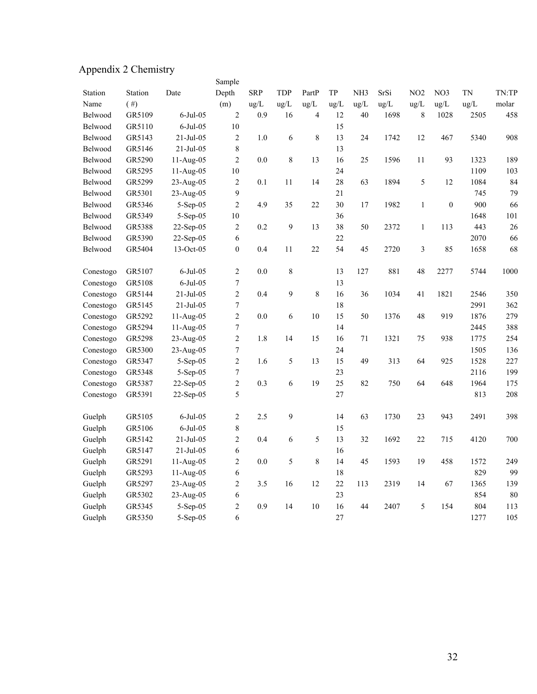## Appendix 2 Chemistry

| Appendix 2 Chemistry |         |                |                  |            |                  |         |      |                 |      |                 |                  |           |       |
|----------------------|---------|----------------|------------------|------------|------------------|---------|------|-----------------|------|-----------------|------------------|-----------|-------|
|                      |         |                | Sample           |            |                  |         |      |                 |      |                 |                  |           |       |
| Station              | Station | Date           | Depth            | <b>SRP</b> | TDP              | PartP   | TP   | NH <sub>3</sub> | SrSi | NO <sub>2</sub> | NO3              | <b>TN</b> | TN:TP |
| Name                 | (  # )  |                | (m)              | ug/L       | ug/L             | ug/L    | ug/L | ug/L            | ug/L | ug/L            | ug/L             | ug/L      | molar |
| Belwood              | GR5109  | $6$ -Jul $-05$ | $\overline{c}$   | 0.9        | 16               | 4       | 12   | 40              | 1698 | 8               | 1028             | 2505      | 458   |
| Belwood              | GR5110  | $6$ -Jul $-05$ | 10               |            |                  |         | 15   |                 |      |                 |                  |           |       |
| Belwood              | GR5143  | $21-Jul-05$    | $\overline{2}$   | 1.0        | $\epsilon$       | 8       | 13   | 24              | 1742 | 12              | 467              | 5340      | 908   |
| Belwood              | GR5146  | $21-Jul-05$    | 8                |            |                  |         | 13   |                 |      |                 |                  |           |       |
| Belwood              | GR5290  | 11-Aug-05      | $\overline{c}$   | 0.0        | 8                | 13      | 16   | 25              | 1596 | 11              | 93               | 1323      | 189   |
| Belwood              | GR5295  | $11-Aug-05$    | $10\,$           |            |                  |         | 24   |                 |      |                 |                  | 1109      | 103   |
| Belwood              | GR5299  | 23-Aug-05      | $\overline{c}$   | 0.1        | 11               | 14      | 28   | 63              | 1894 | 5               | 12               | 1084      | 84    |
| Belwood              | GR5301  | 23-Aug-05      | 9                |            |                  |         | 21   |                 |      |                 |                  | 745       | 79    |
| Belwood              | GR5346  | 5-Sep-05       | $\overline{c}$   | 4.9        | 35               | 22      | 30   | 17              | 1982 | $\mathbf{1}$    | $\boldsymbol{0}$ | 900       | 66    |
| Belwood              | GR5349  | 5-Sep-05       | $10\,$           |            |                  |         | 36   |                 |      |                 |                  | 1648      | 101   |
| Belwood              | GR5388  | 22-Sep-05      | $\overline{c}$   | 0.2        | $\boldsymbol{9}$ | 13      | 38   | 50              | 2372 | $\,1$           | 113              | 443       | 26    |
| Belwood              | GR5390  | 22-Sep-05      | 6                |            |                  |         | 22   |                 |      |                 |                  | 2070      | 66    |
| Belwood              | GR5404  | 13-Oct-05      | $\boldsymbol{0}$ | 0.4        | 11               | 22      | 54   | 45              | 2720 | $\mathfrak{Z}$  | 85               | 1658      | 68    |
|                      |         |                |                  |            |                  |         |      |                 |      |                 |                  |           |       |
| Conestogo            | GR5107  | $6$ -Jul $-05$ | $\overline{c}$   | 0.0        | $\,$ $\,$        |         | 13   | 127             | 881  | 48              | 2277             | 5744      | 1000  |
| Conestogo            | GR5108  | $6$ -Jul $-05$ | $\tau$           |            |                  |         | 13   |                 |      |                 |                  |           |       |
| Conestogo            | GR5144  | $21-Jul-05$    | $\overline{2}$   | 0.4        | 9                | 8       | 16   | 36              | 1034 | 41              | 1821             | 2546      | 350   |
| Conestogo            | GR5145  | $21-Jul-05$    | $\boldsymbol{7}$ |            |                  |         | 18   |                 |      |                 |                  | 2991      | 362   |
| Conestogo            | GR5292  | 11-Aug-05      | $\overline{c}$   | 0.0        | $\epsilon$       | 10      | 15   | 50              | 1376 | 48              | 919              | 1876      | 279   |
| Conestogo            | GR5294  | $11-Aug-05$    | $\boldsymbol{7}$ |            |                  |         | 14   |                 |      |                 |                  | 2445      | 388   |
| Conestogo            | GR5298  | 23-Aug-05      | $\overline{c}$   | 1.8        | 14               | 15      | 16   | 71              | 1321 | 75              | 938              | 1775      | 254   |
| Conestogo            | GR5300  | $23-Aug-05$    | $\boldsymbol{7}$ |            |                  |         | 24   |                 |      |                 |                  | 1505      | 136   |
| Conestogo            | GR5347  | 5-Sep-05       | $\overline{c}$   | 1.6        | 5                | 13      | 15   | 49              | 313  | 64              | 925              | 1528      | 227   |
| Conestogo            | GR5348  | 5-Sep-05       | $\boldsymbol{7}$ |            |                  |         | 23   |                 |      |                 |                  | 2116      | 199   |
| Conestogo            | GR5387  | $22-Sep-05$    | $\overline{c}$   | 0.3        | $\sqrt{6}$       | 19      | 25   | 82              | 750  | 64              | 648              | 1964      | 175   |
| Conestogo            | GR5391  | $22-Sep-05$    | 5                |            |                  |         | 27   |                 |      |                 |                  | 813       | 208   |
|                      |         |                |                  |            |                  |         |      |                 |      |                 |                  |           |       |
| Guelph               | GR5105  | $6$ -Jul-05    | $\mathbf{2}$     | 2.5        | $\boldsymbol{9}$ |         | 14   | 63              | 1730 | 23              | 943              | 2491      | 398   |
| Guelph               | GR5106  | $6$ -Jul $-05$ | $\,$ 8 $\,$      |            |                  |         | 15   |                 |      |                 |                  |           |       |
| Guelph               | GR5142  | $21-Jul-05$    | $\overline{2}$   | 0.4        | 6                | 5       | 13   | 32              | 1692 | 22              | 715              | 4120      | 700   |
| Guelph               | GR5147  | $21-Jul-05$    | 6                |            |                  |         | 16   |                 |      |                 |                  |           |       |
| Guelph               | GR5291  | $11-Aug-05$    | $\overline{c}$   | 0.0        | 5                | $\,8\,$ | 14   | 45              | 1593 | 19              | 458              | 1572      | 249   |
| Guelph               | GR5293  | 11-Aug-05      | 6                |            |                  |         | 18   |                 |      |                 |                  | 829       | 99    |
| Guelph               | GR5297  | 23-Aug-05      | $\overline{c}$   | 3.5        | 16               | 12      | 22   | 113             | 2319 | 14              | 67               | 1365      | 139   |
| Guelph               | GR5302  | $23-Aug-05$    | 6                |            |                  |         | 23   |                 |      |                 |                  | 854       | 80    |
| Guelph               | GR5345  | 5-Sep-05       | $\overline{c}$   | 0.9        | 14               | 10      | 16   | 44              | 2407 | 5               | 154              | 804       | 113   |
| Guelph               | GR5350  | 5-Sep-05       | 6                |            |                  |         | 27   |                 |      |                 |                  | 1277      | 105   |
|                      |         |                |                  |            |                  |         |      |                 |      |                 |                  |           |       |